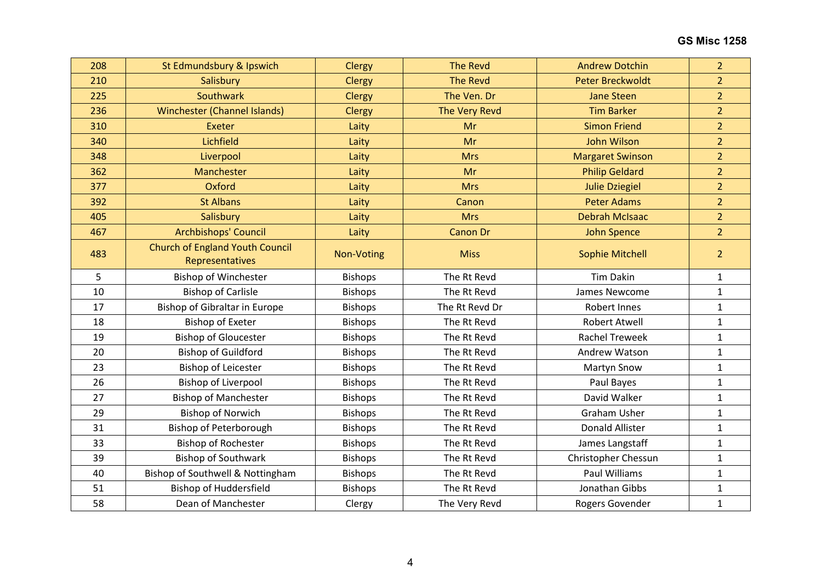| 208 | St Edmundsbury & Ipswich                                  | Clergy         | <b>The Revd</b> | <b>Andrew Dotchin</b>   | $\overline{2}$ |
|-----|-----------------------------------------------------------|----------------|-----------------|-------------------------|----------------|
| 210 | Salisbury                                                 | <b>Clergy</b>  | <b>The Revd</b> | <b>Peter Breckwoldt</b> | $\overline{2}$ |
| 225 | Southwark                                                 | Clergy         | The Ven. Dr     | <b>Jane Steen</b>       | $\overline{2}$ |
| 236 | Winchester (Channel Islands)                              | <b>Clergy</b>  | The Very Revd   | <b>Tim Barker</b>       | $\overline{2}$ |
| 310 | Exeter                                                    | Laity          | Mr              | <b>Simon Friend</b>     | $\overline{2}$ |
| 340 | Lichfield                                                 | Laity          | Mr              | John Wilson             | $\overline{2}$ |
| 348 | Liverpool                                                 | Laity          | <b>Mrs</b>      | <b>Margaret Swinson</b> | $\overline{2}$ |
| 362 | Manchester                                                | Laity          | Mr              | <b>Philip Geldard</b>   | $\overline{2}$ |
| 377 | Oxford                                                    | Laity          | <b>Mrs</b>      | <b>Julie Dziegiel</b>   | $\overline{2}$ |
| 392 | <b>St Albans</b>                                          | Laity          | Canon           | <b>Peter Adams</b>      | $\overline{2}$ |
| 405 | Salisbury                                                 | Laity          | <b>Mrs</b>      | <b>Debrah McIsaac</b>   | $\overline{2}$ |
| 467 | Archbishops' Council                                      | Laity          | <b>Canon Dr</b> | <b>John Spence</b>      | $\overline{2}$ |
| 483 | <b>Church of England Youth Council</b><br>Representatives | Non-Voting     | <b>Miss</b>     | <b>Sophie Mitchell</b>  | $\overline{2}$ |
| 5   | <b>Bishop of Winchester</b>                               | <b>Bishops</b> | The Rt Revd     | <b>Tim Dakin</b>        | $\mathbf{1}$   |
| 10  | <b>Bishop of Carlisle</b>                                 | <b>Bishops</b> | The Rt Revd     | James Newcome           | $\mathbf{1}$   |
| 17  | Bishop of Gibraltar in Europe                             | <b>Bishops</b> | The Rt Revd Dr  | <b>Robert Innes</b>     | $\mathbf{1}$   |
| 18  | <b>Bishop of Exeter</b>                                   | <b>Bishops</b> | The Rt Revd     | <b>Robert Atwell</b>    | $\mathbf{1}$   |
| 19  | <b>Bishop of Gloucester</b>                               | <b>Bishops</b> | The Rt Revd     | <b>Rachel Treweek</b>   | $\mathbf{1}$   |
| 20  | <b>Bishop of Guildford</b>                                | <b>Bishops</b> | The Rt Revd     | Andrew Watson           | $\mathbf{1}$   |
| 23  | <b>Bishop of Leicester</b>                                | <b>Bishops</b> | The Rt Revd     | <b>Martyn Snow</b>      | $\mathbf{1}$   |
| 26  | <b>Bishop of Liverpool</b>                                | <b>Bishops</b> | The Rt Revd     | Paul Bayes              | $\mathbf{1}$   |
| 27  | <b>Bishop of Manchester</b>                               | <b>Bishops</b> | The Rt Revd     | David Walker            | $\mathbf 1$    |
| 29  | <b>Bishop of Norwich</b>                                  | <b>Bishops</b> | The Rt Revd     | <b>Graham Usher</b>     | $\mathbf{1}$   |
| 31  | <b>Bishop of Peterborough</b>                             | <b>Bishops</b> | The Rt Revd     | <b>Donald Allister</b>  | $\mathbf{1}$   |
| 33  | <b>Bishop of Rochester</b>                                | <b>Bishops</b> | The Rt Revd     | James Langstaff         | $\mathbf{1}$   |
| 39  | <b>Bishop of Southwark</b>                                | <b>Bishops</b> | The Rt Revd     | Christopher Chessun     | $\mathbf{1}$   |
| 40  | Bishop of Southwell & Nottingham                          | <b>Bishops</b> | The Rt Revd     | Paul Williams           | $\mathbf{1}$   |
| 51  | <b>Bishop of Huddersfield</b>                             | <b>Bishops</b> | The Rt Revd     | Jonathan Gibbs          | $\mathbf{1}$   |
| 58  | Dean of Manchester                                        | Clergy         | The Very Revd   | Rogers Govender         | $\mathbf 1$    |
|     |                                                           |                |                 |                         |                |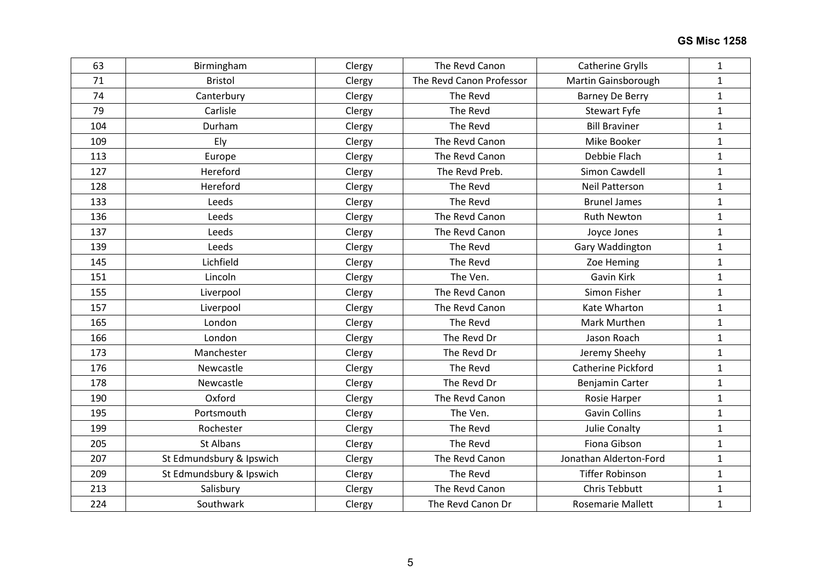| 63  | Birmingham               | Clergy | The Revd Canon           | <b>Catherine Grylls</b>  | $\mathbf{1}$ |
|-----|--------------------------|--------|--------------------------|--------------------------|--------------|
| 71  | <b>Bristol</b>           | Clergy | The Revd Canon Professor | Martin Gainsborough      | $\mathbf{1}$ |
| 74  | Canterbury               | Clergy | The Revd                 | <b>Barney De Berry</b>   | $\mathbf{1}$ |
| 79  | Carlisle                 | Clergy | The Revd                 | Stewart Fyfe             | $\mathbf{1}$ |
| 104 | Durham                   | Clergy | The Revd                 | <b>Bill Braviner</b>     | $\mathbf{1}$ |
| 109 | Ely                      | Clergy | The Revd Canon           | Mike Booker              | $\mathbf{1}$ |
| 113 | Europe                   | Clergy | The Revd Canon           | Debbie Flach             | $\mathbf{1}$ |
| 127 | Hereford                 | Clergy | The Revd Preb.           | Simon Cawdell            | $\mathbf{1}$ |
| 128 | Hereford                 | Clergy | The Revd                 | <b>Neil Patterson</b>    | $\mathbf{1}$ |
| 133 | Leeds                    | Clergy | The Revd                 | <b>Brunel James</b>      | $\mathbf{1}$ |
| 136 | Leeds                    | Clergy | The Revd Canon           | <b>Ruth Newton</b>       | $\mathbf{1}$ |
| 137 | Leeds                    | Clergy | The Revd Canon           | Joyce Jones              | $\mathbf{1}$ |
| 139 | Leeds                    | Clergy | The Revd                 | Gary Waddington          | $\mathbf{1}$ |
| 145 | Lichfield                | Clergy | The Revd                 | Zoe Heming               | $\mathbf{1}$ |
| 151 | Lincoln                  | Clergy | The Ven.                 | Gavin Kirk               | $\mathbf{1}$ |
| 155 | Liverpool                | Clergy | The Revd Canon           | Simon Fisher             | $\mathbf{1}$ |
| 157 | Liverpool                | Clergy | The Revd Canon           | Kate Wharton             | $\mathbf{1}$ |
| 165 | London                   | Clergy | The Revd                 | Mark Murthen             | $\mathbf{1}$ |
| 166 | London                   | Clergy | The Revd Dr              | Jason Roach              | $\mathbf{1}$ |
| 173 | Manchester               | Clergy | The Revd Dr              | Jeremy Sheehy            | $\mathbf{1}$ |
| 176 | Newcastle                | Clergy | The Revd                 | Catherine Pickford       | $\mathbf{1}$ |
| 178 | Newcastle                | Clergy | The Revd Dr              | Benjamin Carter          | $\mathbf{1}$ |
| 190 | Oxford                   | Clergy | The Revd Canon           | Rosie Harper             | $\mathbf{1}$ |
| 195 | Portsmouth               | Clergy | The Ven.                 | <b>Gavin Collins</b>     | $\mathbf{1}$ |
| 199 | Rochester                | Clergy | The Revd                 | Julie Conalty            | $\mathbf{1}$ |
| 205 | St Albans                | Clergy | The Revd                 | <b>Fiona Gibson</b>      | $\mathbf{1}$ |
| 207 | St Edmundsbury & Ipswich | Clergy | The Revd Canon           | Jonathan Alderton-Ford   | $\mathbf{1}$ |
| 209 | St Edmundsbury & Ipswich | Clergy | The Revd                 | <b>Tiffer Robinson</b>   | $\mathbf{1}$ |
| 213 | Salisbury                | Clergy | The Revd Canon           | Chris Tebbutt            | $\mathbf{1}$ |
| 224 | Southwark                | Clergy | The Revd Canon Dr        | <b>Rosemarie Mallett</b> | $\mathbf{1}$ |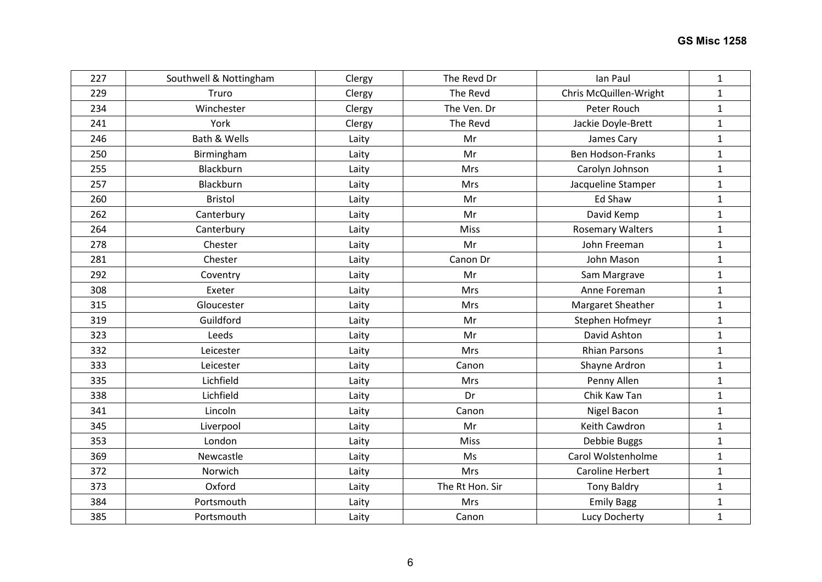| 227 | Southwell & Nottingham | Clergy | The Revd Dr     | Ian Paul                 | $\mathbf{1}$ |
|-----|------------------------|--------|-----------------|--------------------------|--------------|
| 229 | Truro                  | Clergy | The Revd        | Chris McQuillen-Wright   | $\mathbf{1}$ |
| 234 | Winchester             | Clergy | The Ven. Dr     | Peter Rouch              | $\mathbf{1}$ |
| 241 | York                   | Clergy | The Revd        | Jackie Doyle-Brett       | $\mathbf{1}$ |
| 246 | Bath & Wells           | Laity  | Mr              | James Cary               | $\mathbf{1}$ |
| 250 | Birmingham             | Laity  | Mr              | <b>Ben Hodson-Franks</b> | $\mathbf{1}$ |
| 255 | Blackburn              | Laity  | Mrs             | Carolyn Johnson          | $\mathbf{1}$ |
| 257 | Blackburn              | Laity  | Mrs             | Jacqueline Stamper       | $\mathbf{1}$ |
| 260 | <b>Bristol</b>         | Laity  | Mr              | Ed Shaw                  | $\mathbf{1}$ |
| 262 | Canterbury             | Laity  | Mr              | David Kemp               | $\mathbf{1}$ |
| 264 | Canterbury             | Laity  | Miss            | <b>Rosemary Walters</b>  | $\mathbf 1$  |
| 278 | Chester                | Laity  | Mr              | John Freeman             | $\mathbf{1}$ |
| 281 | Chester                | Laity  | Canon Dr        | John Mason               | $\mathbf 1$  |
| 292 | Coventry               | Laity  | Mr              | Sam Margrave             | $\mathbf{1}$ |
| 308 | Exeter                 | Laity  | Mrs             | Anne Foreman             | $\mathbf 1$  |
| 315 | Gloucester             | Laity  | Mrs             | Margaret Sheather        | $\mathbf{1}$ |
| 319 | Guildford              | Laity  | Mr              | Stephen Hofmeyr          | $\mathbf{1}$ |
| 323 | Leeds                  | Laity  | Mr              | David Ashton             | $\mathbf{1}$ |
| 332 | Leicester              | Laity  | Mrs             | <b>Rhian Parsons</b>     | $\mathbf 1$  |
| 333 | Leicester              | Laity  | Canon           | Shayne Ardron            | $\mathbf{1}$ |
| 335 | Lichfield              | Laity  | Mrs             | Penny Allen              | $\mathbf{1}$ |
| 338 | Lichfield              | Laity  | Dr              | Chik Kaw Tan             | $\mathbf 1$  |
| 341 | Lincoln                | Laity  | Canon           | Nigel Bacon              | $\mathbf{1}$ |
| 345 | Liverpool              | Laity  | Mr              | Keith Cawdron            | $\mathbf{1}$ |
| 353 | London                 | Laity  | Miss            | Debbie Buggs             | $\mathbf{1}$ |
| 369 | Newcastle              | Laity  | Ms              | Carol Wolstenholme       | $\mathbf{1}$ |
| 372 | Norwich                | Laity  | Mrs             | Caroline Herbert         | $\mathbf{1}$ |
| 373 | Oxford                 | Laity  | The Rt Hon. Sir | <b>Tony Baldry</b>       | $\mathbf{1}$ |
| 384 | Portsmouth             | Laity  | Mrs             | <b>Emily Bagg</b>        | $\mathbf{1}$ |
| 385 | Portsmouth             | Laity  | Canon           | Lucy Docherty            | $\mathbf{1}$ |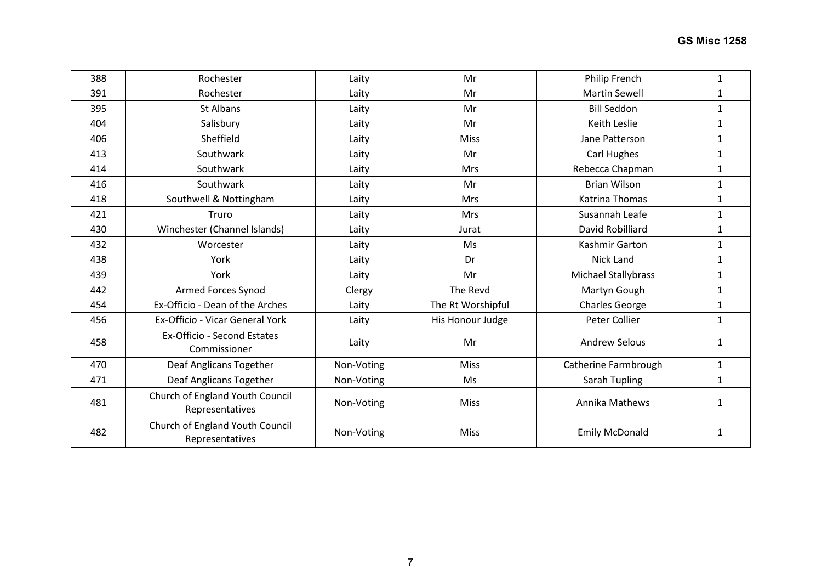| 388 | Rochester                                          | Laity      | Mr                | Philip French         | $\mathbf{1}$ |
|-----|----------------------------------------------------|------------|-------------------|-----------------------|--------------|
| 391 | Rochester                                          | Laity      | Mr                | <b>Martin Sewell</b>  | $\mathbf{1}$ |
| 395 | St Albans                                          | Laity      | Mr                | <b>Bill Seddon</b>    | $\mathbf{1}$ |
| 404 | Salisbury                                          | Laity      | Mr                | Keith Leslie          | $\mathbf{1}$ |
| 406 | Sheffield                                          | Laity      | <b>Miss</b>       | Jane Patterson        | $\mathbf{1}$ |
| 413 | Southwark                                          | Laity      | Mr                | Carl Hughes           | $\mathbf{1}$ |
| 414 | Southwark                                          | Laity      | Mrs               | Rebecca Chapman       | $\mathbf{1}$ |
| 416 | Southwark                                          | Laity      | Mr                | <b>Brian Wilson</b>   | $\mathbf{1}$ |
| 418 | Southwell & Nottingham                             | Laity      | Mrs               | Katrina Thomas        | $\mathbf{1}$ |
| 421 | Truro                                              | Laity      | <b>Mrs</b>        | Susannah Leafe        | $\mathbf{1}$ |
| 430 | Winchester (Channel Islands)                       | Laity      | Jurat             | David Robilliard      | $\mathbf{1}$ |
| 432 | Worcester                                          | Laity      | Ms                | Kashmir Garton        | $\mathbf{1}$ |
| 438 | York                                               | Laity      | Dr                | <b>Nick Land</b>      | $\mathbf{1}$ |
| 439 | York                                               | Laity      | Mr                | Michael Stallybrass   | $\mathbf{1}$ |
| 442 | Armed Forces Synod                                 | Clergy     | The Revd          | Martyn Gough          | $\mathbf{1}$ |
| 454 | Ex-Officio - Dean of the Arches                    | Laity      | The Rt Worshipful | <b>Charles George</b> | $\mathbf{1}$ |
| 456 | Ex-Officio - Vicar General York                    | Laity      | His Honour Judge  | Peter Collier         | $\mathbf{1}$ |
| 458 | Ex-Officio - Second Estates<br>Commissioner        | Laity      | Mr                | <b>Andrew Selous</b>  | $\mathbf{1}$ |
| 470 | Deaf Anglicans Together                            | Non-Voting | <b>Miss</b>       | Catherine Farmbrough  | $\mathbf{1}$ |
| 471 | Deaf Anglicans Together                            | Non-Voting | Ms                | Sarah Tupling         | $\mathbf{1}$ |
| 481 | Church of England Youth Council<br>Representatives | Non-Voting | Miss              | Annika Mathews        | $\mathbf{1}$ |
| 482 | Church of England Youth Council<br>Representatives | Non-Voting | <b>Miss</b>       | <b>Emily McDonald</b> | 1            |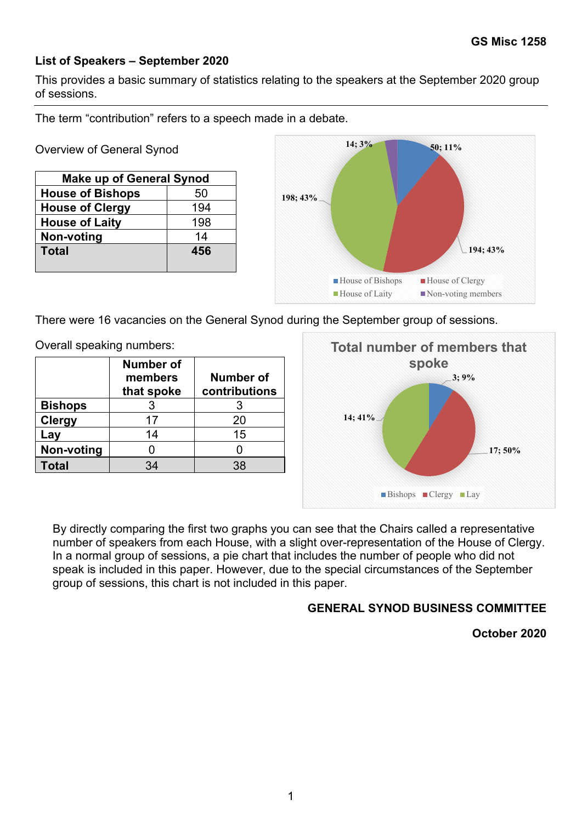## **List of Speakers – September 2020**

This provides a basic summary of statistics relating to the speakers at the September 2020 special session.

The term "contribution" refers to a speech made in a debate.

Overview of General Synod

| <b>Make up of General Synod</b> |     |  |  |  |
|---------------------------------|-----|--|--|--|
| <b>House of Bishops</b>         | 50  |  |  |  |
| <b>House of Clergy</b>          | 194 |  |  |  |
| <b>House of Laity</b>           | 198 |  |  |  |
| Non-voting                      | 14  |  |  |  |
| <b>Total</b>                    | 456 |  |  |  |
|                                 |     |  |  |  |



There were 16 vacancies on the General Synod during the September special session.

Overall speaking numbers:

|                | <b>Number of</b><br>members<br>that spoke | Number of<br>contributions |
|----------------|-------------------------------------------|----------------------------|
| <b>Bishops</b> |                                           |                            |
| <b>Clergy</b>  | 17                                        | 20                         |
| Lay            | 14                                        | 15                         |
| Non-voting     |                                           |                            |
| Total          | 34                                        | 38                         |



By directly comparing the first two graphs you can see that the Chairs called a representative number of speakers from each House, with a slight over-representation of the House of Clergy. In a normal group of sessions, a pie chart that includes the number of people who did not speak is included in this paper. However, due to the special circumstances of the September special session, this chart is not included in this paper.

## **GENERAL SYNOD BUSINESS COMMITTEE**

**October 2020**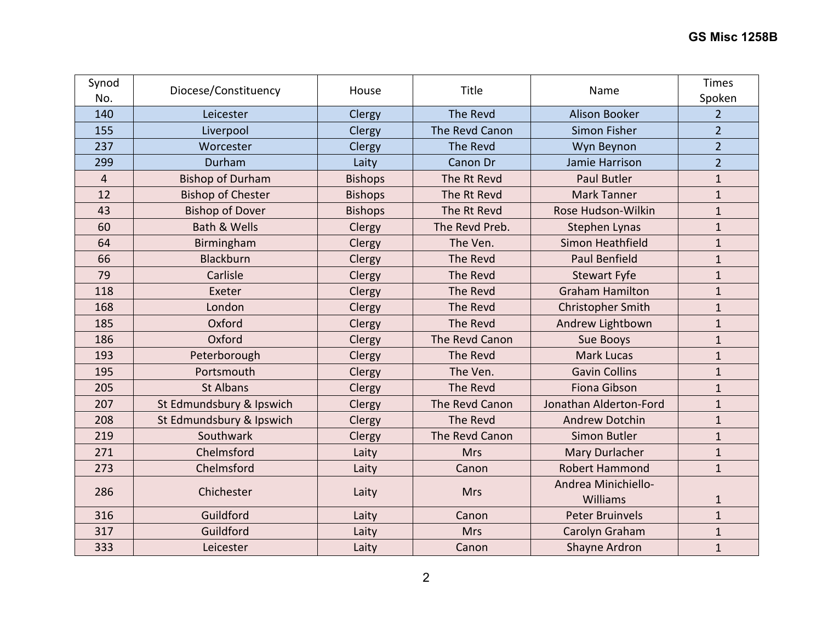| Synod<br>No.   | Diocese/Constituency     | House          | Title          | Name                     | Times<br>Spoken |
|----------------|--------------------------|----------------|----------------|--------------------------|-----------------|
| 140            | Leicester                | Clergy         | The Revd       | Alison Booker            | $\overline{2}$  |
| 155            | Liverpool                | Clergy         | The Revd Canon | Simon Fisher             | $\overline{2}$  |
| 237            | Worcester                | Clergy         | The Revd       | Wyn Beynon               | $\overline{2}$  |
| 299            | Durham                   | Laity          | Canon Dr       | Jamie Harrison           | $\overline{2}$  |
| $\overline{4}$ | <b>Bishop of Durham</b>  | <b>Bishops</b> | The Rt Revd    | <b>Paul Butler</b>       | $\mathbf{1}$    |
| 12             | <b>Bishop of Chester</b> | <b>Bishops</b> | The Rt Revd    | <b>Mark Tanner</b>       | $\mathbf{1}$    |
| 43             | <b>Bishop of Dover</b>   | <b>Bishops</b> | The Rt Revd    | Rose Hudson-Wilkin       | $\mathbf{1}$    |
| 60             | <b>Bath &amp; Wells</b>  | Clergy         | The Revd Preb. | <b>Stephen Lynas</b>     | $\mathbf{1}$    |
| 64             | Birmingham               | Clergy         | The Ven.       | Simon Heathfield         | $\mathbf{1}$    |
| 66             | <b>Blackburn</b>         | Clergy         | The Revd       | <b>Paul Benfield</b>     | $\mathbf{1}$    |
| 79             | Carlisle                 | Clergy         | The Revd       | <b>Stewart Fyfe</b>      | $\mathbf{1}$    |
| 118            | Exeter                   | Clergy         | The Revd       | <b>Graham Hamilton</b>   | $\mathbf{1}$    |
| 168            | London                   | Clergy         | The Revd       | <b>Christopher Smith</b> | $\mathbf{1}$    |
| 185            | Oxford                   | Clergy         | The Revd       | Andrew Lightbown         | $\mathbf{1}$    |
| 186            | Oxford                   | Clergy         | The Revd Canon | Sue Booys                | $\mathbf{1}$    |
| 193            | Peterborough             | Clergy         | The Revd       | <b>Mark Lucas</b>        | $\mathbf{1}$    |
| 195            | Portsmouth               | Clergy         | The Ven.       | <b>Gavin Collins</b>     | $\mathbf{1}$    |
| 205            | <b>St Albans</b>         | Clergy         | The Revd       | <b>Fiona Gibson</b>      | $\mathbf{1}$    |
| 207            | St Edmundsbury & Ipswich | Clergy         | The Revd Canon | Jonathan Alderton-Ford   | $\mathbf{1}$    |
| 208            | St Edmundsbury & Ipswich | Clergy         | The Revd       | <b>Andrew Dotchin</b>    | $\mathbf{1}$    |
| 219            | Southwark                | Clergy         | The Revd Canon | <b>Simon Butler</b>      | $\mathbf{1}$    |
| 271            | Chelmsford               | Laity          | <b>Mrs</b>     | Mary Durlacher           | $\mathbf{1}$    |
| 273            | Chelmsford               | Laity          | Canon          | <b>Robert Hammond</b>    | $\mathbf{1}$    |
| 286            | Chichester               | Laity          | <b>Mrs</b>     | Andrea Minichiello-      |                 |
|                |                          |                |                | Williams                 | $\mathbf{1}$    |
| 316            | Guildford                | Laity          | Canon          | <b>Peter Bruinvels</b>   | $\mathbf{1}$    |
| 317            | Guildford                | Laity          | <b>Mrs</b>     | Carolyn Graham           | $\mathbf{1}$    |
| 333            | Leicester                | Laity          | Canon          | Shayne Ardron            | $\mathbf{1}$    |